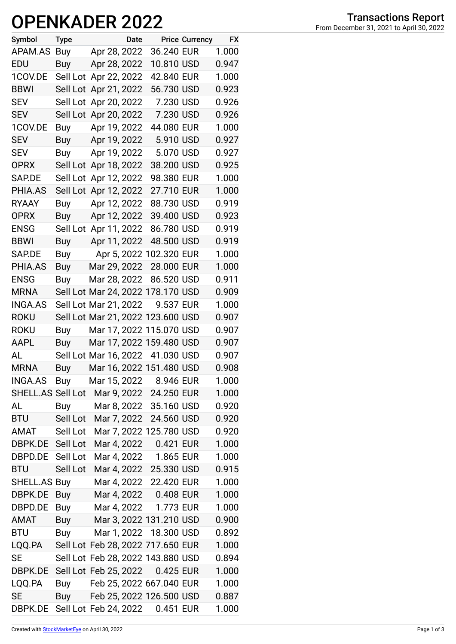## **OPENKADER 2022**

| Symbol            | <b>Type</b> | Date                              |            | <b>Price Currency</b> | <b>FX</b> |
|-------------------|-------------|-----------------------------------|------------|-----------------------|-----------|
| APAM.AS           | Buy         | Apr 28, 2022                      | 36.240 EUR |                       | 1.000     |
| EDU               | Buy         | Apr 28, 2022                      | 10.810 USD |                       | 0.947     |
| 1COV.DE           |             | Sell Lot Apr 22, 2022             | 42.840 EUR |                       | 1.000     |
| <b>BBWI</b>       |             | Sell Lot Apr 21, 2022             | 56.730 USD |                       | 0.923     |
| <b>SEV</b>        |             | Sell Lot Apr 20, 2022             | 7.230 USD  |                       | 0.926     |
| <b>SEV</b>        |             | Sell Lot Apr 20, 2022             | 7.230 USD  |                       | 0.926     |
| 1COV.DE           | Buy         | Apr 19, 2022                      | 44.080 EUR |                       | 1.000     |
| <b>SEV</b>        | Buy         | Apr 19, 2022                      | 5.910 USD  |                       | 0.927     |
| <b>SEV</b>        | Buy         | Apr 19, 2022                      | 5.070 USD  |                       | 0.927     |
| <b>OPRX</b>       |             | Sell Lot Apr 18, 2022             | 38.200 USD |                       | 0.925     |
| SAP.DE            |             | Sell Lot Apr 12, 2022             | 98.380 EUR |                       | 1.000     |
| PHIA.AS           |             | Sell Lot Apr 12, 2022             | 27.710 EUR |                       | 1.000     |
| <b>RYAAY</b>      | Buy         | Apr 12, 2022                      | 88.730 USD |                       | 0.919     |
| <b>OPRX</b>       | Buy         | Apr 12, 2022                      | 39.400 USD |                       | 0.923     |
| <b>ENSG</b>       |             | Sell Lot Apr 11, 2022             | 86.780 USD |                       | 0.919     |
| <b>BBWI</b>       | Buy         | Apr 11, 2022                      | 48.500 USD |                       | 0.919     |
| SAP.DE            |             | Buy Apr 5, 2022 102.320 EUR       |            |                       | 1.000     |
| PHIA.AS           | Buy         | Mar 29, 2022                      | 28.000 EUR |                       | 1.000     |
| <b>ENSG</b>       | <b>Buy</b>  | Mar 28, 2022                      | 86.520 USD |                       | 0.911     |
| <b>MRNA</b>       |             | Sell Lot Mar 24, 2022 178.170 USD |            |                       | 0.909     |
| <b>INGA.AS</b>    |             | Sell Lot Mar 21, 2022             | 9.537 EUR  |                       | 1.000     |
| <b>ROKU</b>       |             | Sell Lot Mar 21, 2022 123.600 USD |            |                       | 0.907     |
| <b>ROKU</b>       | Buy         | Mar 17, 2022 115.070 USD          |            |                       | 0.907     |
| AAPL              |             | Buy Mar 17, 2022 159.480 USD      |            |                       | 0.907     |
| AL                |             | Sell Lot Mar 16, 2022 41.030 USD  |            |                       | 0.907     |
| <b>MRNA</b>       | <b>Buy</b>  | Mar 16, 2022 151.480 USD          |            |                       | 0.908     |
| <b>INGA.AS</b>    | <b>Buy</b>  | Mar 15, 2022                      | 8.946 EUR  |                       | 1.000     |
| SHELL.AS Sell Lot |             | Mar 9, 2022 24.250 EUR            |            |                       | 1.000     |
| AL                | Buy         | Mar 8, 2022 35.160 USD            |            |                       | 0.920     |
| <b>BTU</b>        |             | Sell Lot Mar 7, 2022              | 24.560 USD |                       | 0.920     |
| AMAT              | Sell Lot    | Mar 7, 2022 125.780 USD           |            |                       | 0.920     |
| DBPK.DE           | Sell Lot    | Mar 4, 2022                       | 0.421 EUR  |                       | 1.000     |
| DBPD.DE Sell Lot  |             | Mar 4, 2022 1.865 EUR             |            |                       | 1.000     |
| <b>BTU</b>        | Sell Lot    | Mar 4, 2022 25.330 USD            |            |                       | 0.915     |
| SHELL.AS Buy      |             | Mar 4, 2022 22.420 EUR            |            |                       | 1.000     |
| DBPK.DE           | Buy         | Mar 4, 2022 0.408 EUR             |            |                       | 1.000     |
| DBPD.DE           | Buy         | Mar 4, 2022 1.773 EUR             |            |                       | 1.000     |
| AMAT              |             | Buy Mar 3, 2022 131.210 USD       |            |                       | 0.900     |
| <b>BTU</b>        | Buy         | Mar 1, 2022 18.300 USD            |            |                       | 0.892     |
| LQQ.PA            |             | Sell Lot Feb 28, 2022 717.650 EUR |            |                       | 1.000     |
| <b>SE</b>         |             | Sell Lot Feb 28, 2022 143.880 USD |            |                       | 0.894     |
| DBPK.DE           |             | Sell Lot Feb 25, 2022 0.425 EUR   |            |                       | 1.000     |
| LQQ.PA            | Buy         | Feb 25, 2022 667.040 EUR          |            |                       | 1.000     |
| SE                | Buy         | Feb 25, 2022 126.500 USD          |            |                       | 0.887     |
| DBPK.DE           |             | Sell Lot Feb 24, 2022             | 0.451 EUR  |                       | 1.000     |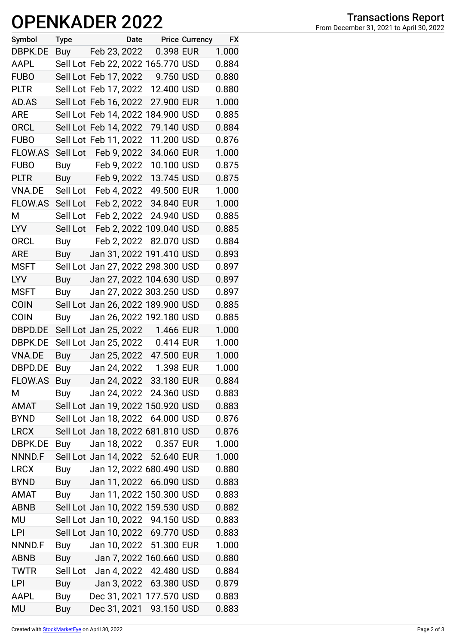## **OPENKADER 2022**

| Symbol         | Type       |                                   | Date Price Currency | <b>EX</b> |
|----------------|------------|-----------------------------------|---------------------|-----------|
| DBPK.DE        |            | Buy Feb 23, 2022                  | 0.398 EUR           | 1.000     |
| AAPL           |            | Sell Lot Feb 22, 2022 165.770 USD |                     | 0.884     |
| <b>FUBO</b>    |            | Sell Lot Feb 17, 2022             | 9.750 USD           | 0.880     |
| <b>PLTR</b>    |            | Sell Lot Feb 17, 2022             | 12.400 USD          | 0.880     |
| AD.AS          |            | Sell Lot Feb 16, 2022             | 27.900 EUR          | 1.000     |
| <b>ARE</b>     |            | Sell Lot Feb 14, 2022 184.900 USD |                     | 0.885     |
| <b>ORCL</b>    |            | Sell Lot Feb 14, 2022             | 79.140 USD          | 0.884     |
| <b>FUBO</b>    |            | Sell Lot Feb 11, 2022             | 11.200 USD          | 0.876     |
| FLOW.AS        | Sell Lot   | Feb 9, 2022                       | 34.060 EUR          | 1.000     |
| <b>FUBO</b>    | Buy        | Feb 9, 2022                       | 10.100 USD          | 0.875     |
| <b>PLTR</b>    |            | Buy Feb 9, 2022                   | 13.745 USD          | 0.875     |
| VNA.DE         |            | Sell Lot Feb 4, 2022              | 49.500 EUR          | 1.000     |
| <b>FLOW.AS</b> |            | Sell Lot Feb 2, 2022              | 34.840 EUR          | 1.000     |
| М              | Sell Lot   | Feb 2, 2022                       | 24.940 USD          | 0.885     |
| <b>LYV</b>     | Sell Lot   | Feb 2, 2022 109.040 USD           |                     | 0.885     |
| ORCL           | <b>Buy</b> | Feb 2, 2022                       | 82.070 USD          | 0.884     |
| ARE            | Buy        | Jan 31, 2022 191.410 USD          |                     | 0.893     |
| <b>MSFT</b>    |            | Sell Lot Jan 27, 2022 298.300 USD |                     | 0.897     |
| <b>LYV</b>     | Buy        | Jan 27, 2022 104.630 USD          |                     | 0.897     |
| <b>MSFT</b>    | Buy        | Jan 27, 2022 303.250 USD          |                     | 0.897     |
| <b>COIN</b>    |            | Sell Lot Jan 26, 2022 189.900 USD |                     | 0.885     |
| <b>COIN</b>    | Buy        | Jan 26, 2022 192.180 USD          |                     | 0.885     |
| DBPD.DE        |            | Sell Lot Jan 25, 2022 1.466 EUR   |                     | 1.000     |
| DBPK.DE        |            | Sell Lot Jan 25, 2022             | 0.414 EUR           | 1.000     |
| <b>VNA.DE</b>  | Buy        | Jan 25, 2022 47.500 EUR           |                     | 1.000     |
| DBPD.DE        |            | Buy Jan 24, 2022                  | 1.398 EUR           | 1.000     |
| FLOW.AS        | Buy        | Jan 24, 2022 33.180 EUR           |                     | 0.884     |
| Μ              | Buy        | Jan 24, 2022 24.360 USD           |                     | 0.883     |
| <b>AMAT</b>    |            | Sell Lot Jan 19, 2022 150.920 USD |                     | 0.883     |
| <b>BYND</b>    |            | Sell Lot Jan 18, 2022 64.000 USD  |                     | 0.876     |
| <b>LRCX</b>    |            | Sell Lot Jan 18, 2022 681.810 USD |                     | 0.876     |
| DBPK.DE        | Buy        | Jan 18, 2022 0.357 EUR            |                     | 1.000     |
| NNND.F         |            | Sell Lot Jan 14, 2022 52.640 EUR  |                     | 1.000     |
| <b>LRCX</b>    | Buy        | Jan 12, 2022 680.490 USD          |                     | 0.880     |
| <b>BYND</b>    | Buy        | Jan 11, 2022 66.090 USD           |                     | 0.883     |
| AMAT           | Buy        | Jan 11, 2022 150.300 USD          |                     | 0.883     |
| <b>ABNB</b>    |            | Sell Lot Jan 10, 2022 159.530 USD |                     | 0.882     |
| MU             |            | Sell Lot Jan 10, 2022 94.150 USD  |                     | 0.883     |
| LPI            |            | Sell Lot Jan 10, 2022 69.770 USD  |                     | 0.883     |
| NNND.F         | Buy        | Jan 10, 2022 51.300 EUR           |                     | 1.000     |
| <b>ABNB</b>    | Buy        | Jan 7, 2022 160.660 USD           |                     | 0.880     |
| <b>TWTR</b>    |            | Sell Lot Jan 4, 2022              | 42.480 USD          | 0.884     |
| LPI            | Buy        | Jan 3, 2022 63.380 USD            |                     | 0.879     |
| <b>AAPL</b>    | Buy        | Dec 31, 2021 177.570 USD          |                     | 0.883     |
| MU             | Buy        | Dec 31, 2021 93.150 USD           |                     | 0.883     |